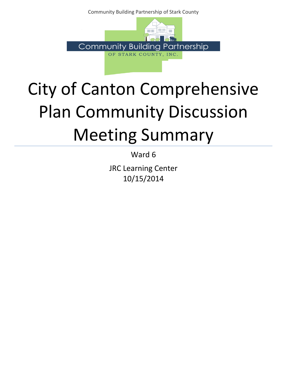Community Building Partnership of Stark County



## City of Canton Comprehensive Plan Community Discussion Meeting Summary

Ward 6

JRC Learning Center 10/15/2014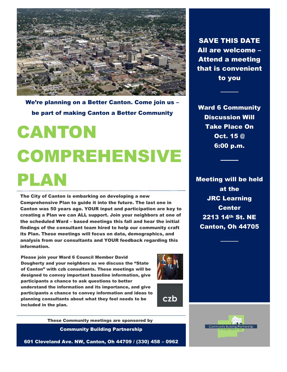

We're planning on a Better Canton. Come join us – be part of making Canton a Better Community

# CANTON COMPREHENSIVE PLAN

The City of Canton is embarking on developing a new Comprehensive Plan to guide it into the future. The last one in Canton was 50 years ago. YOUR input and participation are key to creating a Plan we can ALL support. Join your neighbors at one of the scheduled Ward – based meetings this fall and hear the initial findings of the consultant team hired to help our community craft its Plan. These meetings will focus on data, demographics, and analysis from our consultants and YOUR feedback regarding this information.

Please join your Ward 6 Council Member David Dougherty and your neighbors as we discuss the "State of Canton" with czb consultants. These meetings will be designed to convey important baseline information, give participants a chance to ask questions to better understand the information and its importance, and give participants a chance to convey information and ideas to planning consultants about what they feel needs to be included in the plan.



czb

Community Building Partnership These Community meetings are sponsored by

601 Cleveland Ave. NW, Canton, Oh 44709 / (330) 458 – 0962

SAVE THIS DATE All are welcome – Attend a meeting that is convenient to you

Ward 6 Community Discussion Will Take Place On Oct. 15 @ 6:00 p.m.

Meeting will be held at the JRC Learning **Center** 2213 14th St. NE Canton, Oh 44705

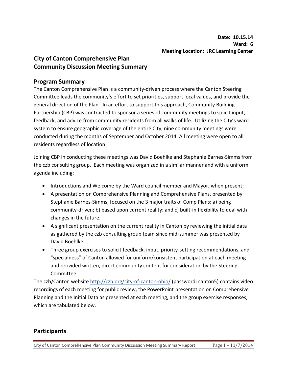## **City of Canton Comprehensive Plan Community Discussion Meeting Summary**

### **Program Summary**

The Canton Comprehensive Plan is a community-driven process where the Canton Steering Committee leads the community's effort to set priorities, support local values, and provide the general direction of the Plan. In an effort to support this approach, Community Building Partnership (CBP) was contracted to sponsor a series of community meetings to solicit input, feedback, and advice from community residents from all walks of life. Utilizing the City's ward system to ensure geographic coverage of the entire City, nine community meetings were conducted during the months of September and October 2014. All meeting were open to all residents regardless of location.

Joining CBP in conducting these meetings was David Boehlke and Stephanie Barnes-Simms from the czb consulting group. Each meeting was organized in a similar manner and with a uniform agenda including:

- Introductions and Welcome by the Ward council member and Mayor, when present;
- A presentation on Comprehensive Planning and Comprehensive Plans, presented by Stephanie Barnes-Simms, focused on the 3 major traits of Comp Plans: a) being community-driven; b) based upon current reality; and c) built-in flexibility to deal with changes in the future.
- A significant presentation on the current reality in Canton by reviewing the initial data as gathered by the czb consulting group team since mid-summer was presented by David Boehlke.
- Three group exercises to solicit feedback, input, priority-setting recommendations, and "specialness" of Canton allowed for uniform/consistent participation at each meeting and provided written, direct community content for consideration by the Steering Committee.

The czb/Canton website http://czb.org/city-of-canton-ohio/ (password: canton5) contains video recordings of each meeting for public review, the PowerPoint presentation on Comprehensive Planning and the Initial Data as presented at each meeting, and the group exercise responses, which are tabulated below.

## **Participants**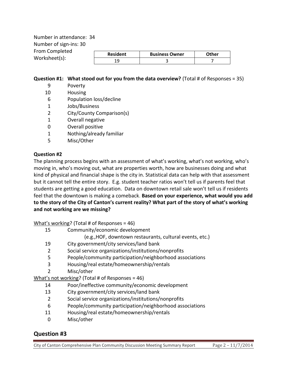Number in attendance: 34 Number of sign-ins: 30 From Completed Worksheet(s):

| ะน | <b>Resident</b> | <b>Business Owner</b> | <b>A</b> ther |
|----|-----------------|-----------------------|---------------|
|    |                 |                       |               |

#### **Question #1: What stood out for you from the data overview?** (Total # of Responses = 35)

- 9 Poverty
- 10 Housing
- 6 Population loss/decline
- 1 Jobs/Business
- 2 City/County Comparison(s)
- 1 Overall negative
- 0 Overall positive
- 1 Nothing/already familiar
- 5 Misc/Other

#### **Question #2**

The planning process begins with an assessment of what's working, what's not working, who's moving in, who's moving out, what are properties worth, how are businesses doing and what kind of physical and financial shape is the city in. Statistical data can help with that assessment but it cannot tell the entire story. E.g. student teacher ratios won't tell us if parents feel that students are getting a good education. Data on downtown retail sale won't tell us if residents feel that the downtown is making a comeback. **Based on your experience, what would you add to the story of the City of Canton's current reality? What part of the story of what's working and not working are we missing?** 

What's working? (Total # of Responses = 46)

- 15 Community/economic development
	- (e.g.,HOF, downtown restaurants, cultural events, etc.)
- 19 City government/city services/land bank
- 2 Social service organizations/institutions/nonprofits
- 5 People/community participation/neighborhood associations
- 3 Housing/real estate/homeownership/rentals
- 2 Misc/other

What's not working? (Total # of Responses = 46)

- 14 Poor/ineffective community/economic development
- 13 City government/city services/land bank
- 2 Social service organizations/institutions/nonprofits
- 6 People/community participation/neighborhood associations
- 11 Housing/real estate/homeownership/rentals
- 0 Misc/other

## **Question #3**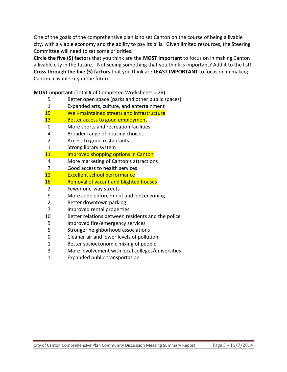One of the goals of the comprehensive plan is to set Canton on the course of being a livable city, with a viable economy and the ability to pay its bills. Given limited resources, the Steering Committee will need to set some priorities.

**Circle the five (5) factors** that you think are the **MOST important** to focus on in making Canton a livable city in the future. Not seeing something that you think is important? Add it to the list! **Cross through the five (5) factors** that you think are **LEAST IMPORTANT** to focus on in making Canton a livable city in the future.

**MOST important** (Total # of Completed Worksheets = 29)

Better open space (parks and other public spaces)

| ⊃              | Better Open space (parks and other public spaces) |
|----------------|---------------------------------------------------|
| $\mathbf{1}$   | Expanded arts, culture, and entertainment         |
| 19             | Well-maintained streets and infrastructure        |
| 13             | Better access to good employment                  |
| 0              | More sports and recreation facilities             |
| $\overline{4}$ | Broader range of housing choices                  |
| $\overline{2}$ | Access to good restaurants                        |
| $\mathbf{1}$   | Strong library system                             |
| 11             | <b>Improved shopping options in Canton</b>        |
| 4              | More marketing of Canton's attractions            |
| 7              | Good access to health services                    |
| 12             | <b>Excellent school performance</b>               |
| 18             | Removal of vacant and blighted houses             |
| $\overline{2}$ | Fewer one-way streets                             |
| 9              | More code enforcement and better zoning           |
| $\overline{2}$ | Better downtown parking                           |
| 7              | Improved rental properties                        |
| 10             | Better relations between residents and the police |
| 5              | Improved fire/emergency services                  |
| 5              | Stronger neighborhood associations                |
| 0              | Cleaner air and lower levels of pollution         |
| 1              | Better socioeconomic mixing of people             |
| 3              | More involvement with local colleges/universities |
| $\overline{1}$ | Expanded public transportation                    |
|                |                                                   |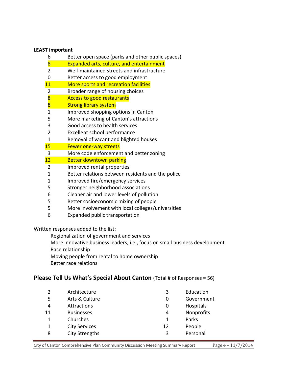#### **LEAST important**

- Better open space (parks and other public spaces)
- 8 Expanded arts, culture, and entertainment
- Well-maintained streets and infrastructure
- Better access to good employment
- 11 More sports and recreation facilities
- Broader range of housing choices
- **Access to good restaurants**
- 8 Strong library system
- Improved shopping options in Canton
- More marketing of Canton's attractions
- Good access to health services
- Excellent school performance
- Removal of vacant and blighted houses
- 15 Fewer one-way streets
- More code enforcement and better zoning
- 12 Better downtown parking
- Improved rental properties
- Better relations between residents and the police
- Improved fire/emergency services
- Stronger neighborhood associations
- Cleaner air and lower levels of pollution
- Better socioeconomic mixing of people
- More involvement with local colleges/universities
- Expanded public transportation

Written responses added to the list:

- Regionalization of government and services
- More innovative business leaders, i.e., focus on small business development
- Race relationship
- Moving people from rental to home ownership
- Better race relations

#### **Please Tell Us What's Special About Canton** (Total # of Responses = 56)

|    | Architecture          | 3  | Education  |
|----|-----------------------|----|------------|
| 5  | Arts & Culture        | 0  | Government |
| 4  | Attractions           | O  | Hospitals  |
| 11 | <b>Businesses</b>     | 4  | Nonprofits |
|    | Churches              | 1  | Parks      |
|    | <b>City Services</b>  | 12 | People     |
| 8  | <b>City Strengths</b> | 3  | Personal   |
|    |                       |    |            |